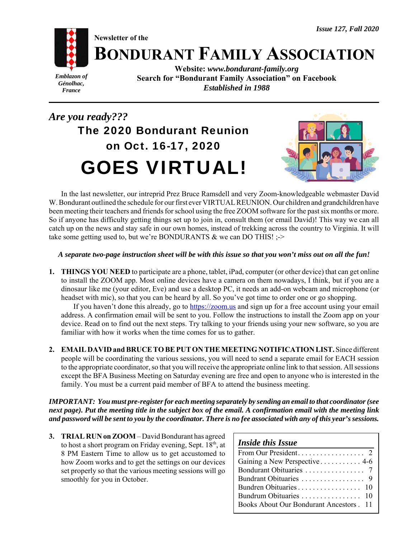# **BONDURANT FAMILY ASSOCIATION**

*Emblazon of Génolhac, France*

**Website:** *www.bondurant-family.org* **Search for "Bondurant Family Association" on Facebook** *Established in 1988*

# *Are you ready???* The 2020 Bondurant Reunion on Oct. 16-17, 2020 GOES VIRTUAL!

**Newsletter of the**



In the last newsletter, our intreprid Prez Bruce Ramsdell and very Zoom-knowledgeable webmaster David W. Bondurant outlined the schedule for our first ever VIRTUAL REUNION. Our children and grandchildren have been meeting their teachers and friends for school using the free ZOOM software for the past six months or more. So if anyone has difficulty getting things set up to join in, consult them (or email David)! This way we can all catch up on the news and stay safe in our own homes, instead of trekking across the country to Virginia. It will take some getting used to, but we're BONDURANTS & we can DO THIS! ;->

## *A separate two-page instruction sheet will be with this issue so that you won't miss out on all the fun!*

**1. THINGS YOU NEED** to participate are a phone, tablet, iPad, computer (or other device) that can get online to install the ZOOM app. Most online devices have a camera on them nowadays, I think, but if you are a dinosaur like me (your editor, Eve) and use a desktop PC, it needs an add-on webcam and microphone (or headset with mic), so that you can be heard by all. So you've got time to order one or go shopping.

If you haven't done this already, go to https://zoom.us and sign up for a free account using your email address. A confirmation email will be sent to you. Follow the instructions to install the Zoom app on your device. Read on to find out the next steps. Try talking to your friends using your new software, so you are familiar with how it works when the time comes for us to gather.

**2. EMAIL DAVID and BRUCE TO BE PUT ON THE MEETING NOTIFICATION LIST.** Since different people will be coordinating the various sessions, you will need to send a separate email for EACH session to the appropriate coordinator, so that you will receive the appropriate online link to that session. All sessions except the BFA Business Meeting on Saturday evening are free and open to anyone who is interested in the family. You must be a current paid member of BFA to attend the business meeting.

*IMPORTANT: You must pre-register for each meeting separately by sending an email to that coordinator (see next page). Put the meeting title in the subject box of the email. A confirmation email with the meeting link and password will be sent to you by the coordinator. There is no fee associated with any of this year's sessions.*

**3. TRIAL RUN on ZOOM** – David Bondurant has agreed to host a short program on Friday evening, Sept. 18<sup>th</sup>, at 8 PM Eastern Time to allow us to get accustomed to how Zoom works and to get the settings on our devices set properly so that the various meeting sessions will go smoothly for you in October.

| <b>Inside this Issue</b>                        |
|-------------------------------------------------|
|                                                 |
| Gaining a New Perspective 4-6                   |
|                                                 |
|                                                 |
|                                                 |
|                                                 |
| <b>Books About Our Bondurant Ancestors . 11</b> |
|                                                 |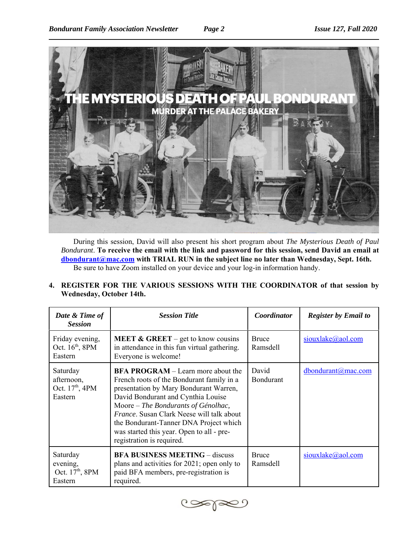

During this session, David will also present his short program about *The Mysterious Death of Paul Bondurant*. **To receive the email with the link and password for this session, send David an email at dbondurant@mac.com with TRIAL RUN in the subject line no later than Wednesday, Sept. 16th.**  Be sure to have Zoom installed on your device and your log-in information handy.

**4. REGISTER FOR THE VARIOUS SESSIONS WITH THE COORDINATOR of that session by Wednesday, October 14th.**

| Date & Time of<br><b>Session</b>                                 | <b>Session Title</b>                                                                                                                                                                                                                                                                                                                                                           | Coordinator               | <b>Register by Email to</b> |
|------------------------------------------------------------------|--------------------------------------------------------------------------------------------------------------------------------------------------------------------------------------------------------------------------------------------------------------------------------------------------------------------------------------------------------------------------------|---------------------------|-----------------------------|
| Friday evening,<br>Oct. 16 <sup>th</sup> , 8PM<br>Eastern        | <b>MEET &amp; GREET</b> – get to know cousins<br>in attendance in this fun virtual gathering.<br>Everyone is welcome!                                                                                                                                                                                                                                                          | <b>Bruce</b><br>Ramsdell  | $sioux$ lake@aol.com        |
| Saturday<br>afternoon,<br>Oct. 17 <sup>th</sup> , 4PM<br>Eastern | <b>BFA PROGRAM</b> – Learn more about the<br>French roots of the Bondurant family in a<br>presentation by Mary Bondurant Warren,<br>David Bondurant and Cynthia Louise<br>Moore – The Bondurants of Génolhac,<br>France. Susan Clark Neese will talk about<br>the Bondurant-Tanner DNA Project which<br>was started this year. Open to all - pre-<br>registration is required. | David<br><b>Bondurant</b> | dbondurant@mac.com          |
| Saturday<br>evening,<br>Oct. 17 <sup>th</sup> , 8PM<br>Eastern   | <b>BFA BUSINESS MEETING – discuss</b><br>plans and activities for 2021; open only to<br>paid BFA members, pre-registration is<br>required.                                                                                                                                                                                                                                     | <b>Bruce</b><br>Ramsdell  | siouxlake@aol.com           |

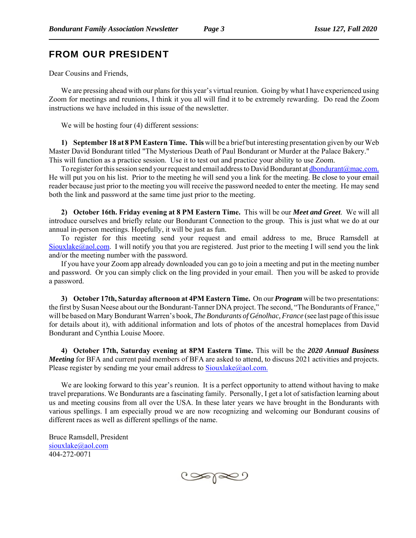## FROM OUR PRESIDENT

Dear Cousins and Friends,

We are pressing ahead with our plans for this year's virtual reunion. Going by what I have experienced using Zoom for meetings and reunions, I think it you all will find it to be extremely rewarding. Do read the Zoom instructions we have included in this issue of the newsletter.

We will be hosting four (4) different sessions:

**1) September 18 at 8 PM Eastern Time. This** will be a brief but interesting presentation given by our Web Master David Bondurant titled "The Mysterious Death of Paul Bondurant or Murder at the Palace Bakery." This will function as a practice session. Use it to test out and practice your ability to use Zoom.

To register for this session send your request and email address to David Bondurant at dbondurant@mac.com. He will put you on his list. Prior to the meeting he will send you a link for the meeting. Be close to your email reader because just prior to the meeting you will receive the password needed to enter the meeting. He may send both the link and password at the same time just prior to the meeting.

**2) October 16th. Friday evening at 8 PM Eastern Time.** This will be our *Meet and Greet*. We will all introduce ourselves and briefly relate our Bondurant Connection to the group. This is just what we do at our annual in-person meetings. Hopefully, it will be just as fun.

To register for this meeting send your request and email address to me, Bruce Ramsdell at Siouxlake@aol.com. I will notify you that you are registered. Just prior to the meeting I will send you the link and/or the meeting number with the password.

If you have your Zoom app already downloaded you can go to join a meeting and put in the meeting number and password. Or you can simply click on the ling provided in your email. Then you will be asked to provide a password.

**3) October 17th, Saturday afternoon at 4PM Eastern Time.** On our *Program* will be two presentations: the first by Susan Neese about our the Bondurant-Tanner DNA project. The second, "The Bondurants of France," will be based on Mary Bondurant Warren's book, *The Bondurants of Génolhac, France* (see last page of this issue for details about it), with additional information and lots of photos of the ancestral homeplaces from David Bondurant and Cynthia Louise Moore.

**4) October 17th, Saturday evening at 8PM Eastern Time.** This will be the *2020 Annual Business Meeting* for BFA and current paid members of BFA are asked to attend, to discuss 2021 activities and projects. Please register by sending me your email address to  $Sioux$ lake $@$ aol.com.

We are looking forward to this year's reunion. It is a perfect opportunity to attend without having to make travel preparations. We Bondurants are a fascinating family. Personally, I get a lot of satisfaction learning about us and meeting cousins from all over the USA. In these later years we have brought in the Bondurants with various spellings. I am especially proud we are now recognizing and welcoming our Bondurant cousins of different races as well as different spellings of the name.

Bruce Ramsdell, President siouxlake@aol.com 404-272-0071

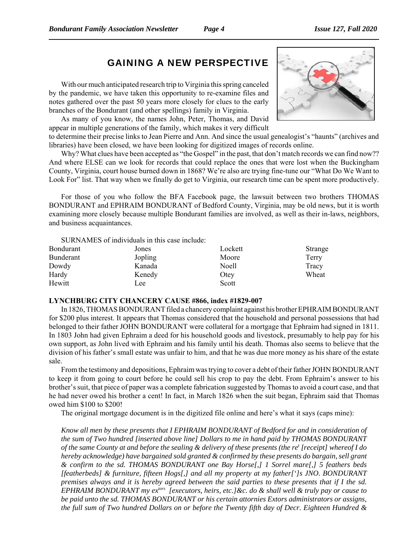# GAINING A NEW PERSPECTIVE

With our much anticipated research trip to Virginia this spring canceled by the pandemic, we have taken this opportunity to re-examine files and notes gathered over the past 50 years more closely for clues to the early branches of the Bondurant (and other spellings) family in Virginia.

As many of you know, the names John, Peter, Thomas, and David appear in multiple generations of the family, which makes it very difficult

to determine their precise links to Jean Pierre and Ann. And since the usual genealogist's "haunts" (archives and libraries) have been closed, we have been looking for digitized images of records online.

Why? What clues have been accepted as "the Gospel" in the past, that don't match records we can find now?? And where ELSE can we look for records that could replace the ones that were lost when the Buckingham County, Virginia, court house burned down in 1868? We're also are trying fine-tune our "What Do We Want to Look For" list. That way when we finally do get to Virginia, our research time can be spent more productively.

For those of you who follow the BFA Facebook page, the lawsuit between two brothers THOMAS BONDURANT and EPHRAIM BONDURANT of Bedford County, Virginia, may be old news, but it is worth examining more closely because multiple Bondurant families are involved, as well as their in-laws, neighbors, and business acquaintances.

SURNAMES of individuals in this case include:

| Bondurant | Jones   | Lockett      | Strange |
|-----------|---------|--------------|---------|
| Bunderant | Jopling | Moore        | Terry   |
| Dowdy     | Kanada  | <b>Noell</b> | Tracy   |
| Hardy     | Kenedy  | Otey         | Wheat   |
| Hewitt    | Lee     | Scott        |         |

#### **LYNCHBURG CITY CHANCERY CAUSE #866, index #1829-007**

In 1826, THOMAS BONDURANT filed a chancery complaint against his brother EPHRAIM BONDURANT for \$200 plus interest. It appears that Thomas considered that the household and personal possessions that had belonged to their father JOHN BONDURANT were collateral for a mortgage that Ephraim had signed in 1811. In 1803 John had given Ephraim a deed for his household goods and livestock, presumably to help pay for his own support, as John lived with Ephraim and his family until his death. Thomas also seems to believe that the division of his father's small estate was unfair to him, and that he was due more money as his share of the estate sale.

From the testimony and depositions, Ephraim was trying to cover a debt of their father JOHN BONDURANT to keep it from going to court before he could sell his crop to pay the debt. From Ephraim's answer to his brother's suit, that piece of paper was a complete fabrication suggested by Thomas to avoid a court case, and that he had never owed his brother a cent! In fact, in March 1826 when the suit began, Ephraim said that Thomas owed him \$100 to \$200!

The original mortgage document is in the digitized file online and here's what it says (caps mine):

*Know all men by these presents that I EPHRAIM BONDURANT of Bedford for and in consideration of the sum of Two hundred [inserted above line] Dollars to me in hand paid by THOMAS BONDURANT of the same County at and before the sealing & delivery of these presents (the ret [receipt] whereof I do hereby acknowledge) have bargained sold granted & confirmed by these presents do bargain, sell grant & confirm to the sd. THOMAS BONDURANT one Bay Horse[,] 1 Sorrel mare[,] 5 feathers beds [featherbeds] & furniture, fifteen Hogs[,] and all my property at my father[']s JNO. BONDURANT premises always and it is hereby agreed between the said parties to these presents that if I the sd. EPHRAIM BONDURANT my extors [executors, heirs, etc.]&c. do & shall well & truly pay or cause to be paid unto the sd. THOMAS BONDURANT or his certain attornies Extors administrators or assigns, the full sum of Two hundred Dollars on or before the Twenty fifth day of Decr. Eighteen Hundred &*

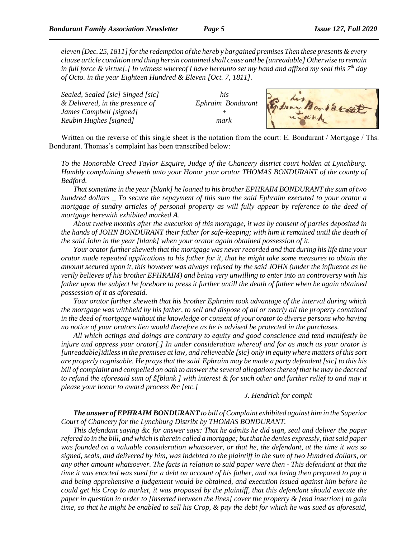*eleven [Dec. 25, 1811] for the redemption of the hereb y bargained premises Then these presents & every clause article condition and thing herein contained shall cease and be [unreadable] Otherwise to remain in full force & virtue[.] In witness whereof I have hereunto set my hand and affixed my seal this 7th day of Octo. in the year Eighteen Hundred & Eleven [Oct. 7, 1811].*

*Sealed, Sealed [sic] Singed [sic] his & Delivered, in the presence of Ephraim Bondurant James Campbell [signed] + Reubin Hughes [signed] mark*



Written on the reverse of this single sheet is the notation from the court: E. Bondurant / Mortgage / Ths. Bondurant. Thomas's complaint has been transcribed below:

*To the Honorable Creed Taylor Esquire, Judge of the Chancery district court holden at Lynchburg. Humbly complaining sheweth unto your Honor your orator THOMAS BONDURANT of the county of Bedford.* 

*That sometime in the year [blank] he loaned to his brother EPHRAIM BONDURANT the sum of two hundred dollars \_ To secure the repayment of this sum the said Ephraim executed to your orator a mortgage of sundry articles of personal property as will fully appear by reference to the deed of mortgage herewith exhibited marked A.*

*About twelve months after the execution of this mortgage, it was by consent of parties deposited in the hands of JOHN BONDURANT their father for safe-keeping; with him it remained until the death of the said John in the year [blank] when your orator again obtained possession of it.*

*Your orator further sheweth that the mortgage was never recorded and that during his life time your orator made repeated applications to his father for it, that he might take some measures to obtain the amount secured upon it, this however was always refused by the said JOHN (under the influence as he verily believes of his brother EPHRAIM) and being very unwilling to enter into an controversy with his father upon the subject he forebore to press it further untill the death of father when he again obtained possession of it as aforesaid.*

*Your orator further sheweth that his brother Ephraim took advantage of the interval during which the mortgage was withheld by his father, to sell and dispose of all or nearly all the property contained in the deed of mortgage without the knowledge or consent of your orator to diverse persons who having no notice of your orators lien would therefore as he is advised be protected in the purchases.*

*All which actings and doings are contrary to equity and good conscience and tend manifestly be injure and oppress your orator[.] In under consideration whereof and for as much as your orator is [unreadable]idiless in the premises at law, and relieveable [sic] only in equity where matters of this sort are properly cognisable. He prays that the said Ephraim may be made a party defendent [sic] to this his bill of complaint and compelled on oath to answer the several allegations thereof that he may be decreed to refund the aforesaid sum of \$[blank ] with interest & for such other and further relief to and may it please your honor to award process &c [etc.]*

#### *J. Hendrick for complt*

*The answer of EPHRAIM BONDURANT to bill of Complaint exhibited against him in the Superior Court of Chancery for the Lynchburg Distribt by THOMAS BONDURANT.*

*This defendant saying &c for answer says: That he admits he did sign, seal and deliver the paper refered to in the bill, and which is therein called a mortgage; but that he denies expressly, that said paper was founded on a valuable consideration whatsoever, or that he, the defendant, at the time it was so signed, seals, and delivered by him, was indebted to the plaintiff in the sum of two Hundred dollars, or any other amount whatsoever. The facts in relation to said paper were then - This defendant at that the time it was enacted was sued for a debt on account of his father, and not being then prepared to pay it and being apprehensive a judgement would be obtained, and execution issued against him before he could get his Crop to market, it was proposed by the plaintiff, that this defendant should execute the paper in question in order to [inserted between the lines] cover the property & [end insertion] to gain time, so that he might be enabled to sell his Crop, & pay the debt for which he was sued as aforesaid,*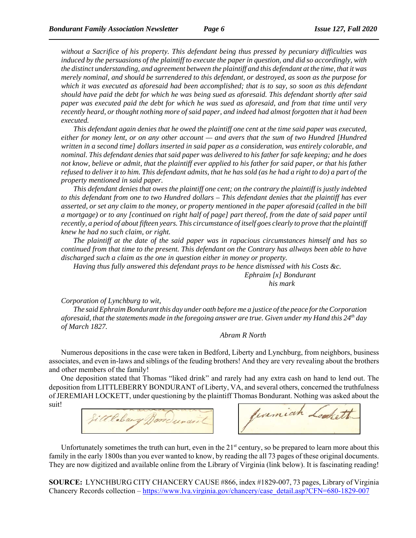*without a Sacrifice of his property. This defendant being thus pressed by pecuniary difficulties was induced by the persuasions of the plaintiff to execute the paper in question, and did so accordingly, with the distinct understanding, and agreement between the plaintiff and this defendant at the time, that it was merely nominal, and should be surrendered to this defendant, or destroyed, as soon as the purpose for which it was executed as aforesaid had been accomplished; that is to say, so soon as this defendant should have paid the debt for which he was being sued as aforesaid. This defendant shortly after said paper was executed paid the debt for which he was sued as aforesaid, and from that time until very recently heard, or thought nothing more of said paper, and indeed had almost forgotten that it had been executed.*

*This defendant again denies that he owed the plaintiff one cent at the time said paper was executed, either for money lent, or on any other account — and avers that the sum of two Hundred [Hundred written in a second time] dollars inserted in said paper as a consideration, was entirely colorable, and nominal. This defendant denies that said paper was delivered to his father for safe keeping; and he does not know, believe or admit, that the plaintiff ever applied to his father for said paper, or that his father refused to deliver it to him. This defendant admits, that he has sold (as he had a right to do) a part of the property mentioned in said paper.*

*This defendant denies that owes the plaintiff one cent; on the contrary the plaintiff is justly indebted to this defendant from one to two Hundred dollars – This defendant denies that the plaintiff has ever asserted, or set any claim to the money, or property mentioned in the paper aforesaid (called in the bill a mortgage) or to any [continued on right half of page] part thereof, from the date of said paper until recently, a period of about fifteen years. This circumstance of itself goes clearly to prove that the plaintiff knew he had no such claim, or right.*

*The plaintiff at the date of the said paper was in rapacious circumstances himself and has so continued from that time to the present. This defendant on the Contrary has allways been able to have discharged such a claim as the one in question either in money or property.*

*Having thus fully answered this defendant prays to be hence dismissed with his Costs &c. Ephraim [x] Bondurant his mark*

*Corporation of Lynchburg to wit,*

*The said Ephraim Bondurant this day under oath before me a justice of the peace for the Corporation aforesaid, that the statements made in the foregoing answer are true. Given under my Hand this 24th day of March 1827.*

*Abram R North* 

Numerous depositions in the case were taken in Bedford, Liberty and Lynchburg, from neighbors, business associates, and even in-laws and siblings of the feuding brothers! And they are very revealing about the brothers and other members of the family!

One deposition stated that Thomas "liked drink" and rarely had any extra cash on hand to lend out. The deposition from LITTLEBERRY BONDURANT of Liberty, VA, and several others, concerned the truthfulness of JEREMIAH LOCKETT, under questioning by the plaintiff Thomas Bondurant. Nothing was asked about the suit!



Jevernich Lockett

Unfortunately sometimes the truth can hurt, even in the  $21<sup>st</sup>$  century, so be prepared to learn more about this family in the early 1800s than you ever wanted to know, by reading the all 73 pages of these original documents. They are now digitized and available online from the Library of Virginia (link below). It is fascinating reading!

**SOURCE:** LYNCHBURG CITY CHANCERY CAUSE #866, index #1829-007, 73 pages, Library of Virginia Chancery Records collection – https://www.lva.virginia.gov/chancery/case\_detail.asp?CFN=680-1829-007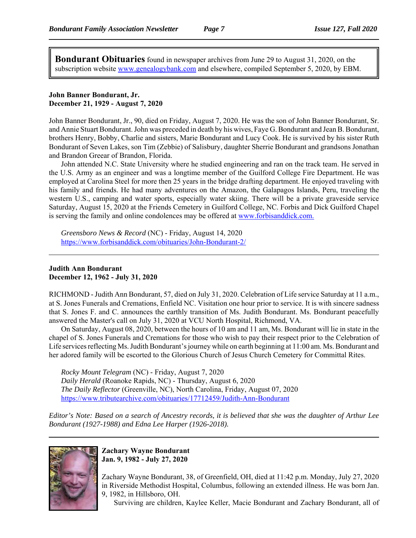**Bondurant Obituaries** found in newspaper archives from June 29 to August 31, 2020, on the subscription website www.genealogybank.com and elsewhere, compiled September 5, 2020, by EBM.

#### **John Banner Bondurant, Jr. December 21, 1929 - August 7, 2020**

John Banner Bondurant, Jr., 90, died on Friday, August 7, 2020. He was the son of John Banner Bondurant, Sr. and Annie Stuart Bondurant. John was preceded in death by his wives, Faye G. Bondurant and Jean B. Bondurant, brothers Henry, Bobby, Charlie and sisters, Marie Bondurant and Lucy Cook. He is survived by his sister Ruth Bondurant of Seven Lakes, son Tim (Zebbie) of Salisbury, daughter Sherrie Bondurant and grandsons Jonathan and Brandon Greear of Brandon, Florida.

John attended N.C. State University where he studied engineering and ran on the track team. He served in the U.S. Army as an engineer and was a longtime member of the Guilford College Fire Department. He was employed at Carolina Steel for more then 25 years in the bridge drafting department. He enjoyed traveling with his family and friends. He had many adventures on the Amazon, the Galapagos Islands, Peru, traveling the western U.S., camping and water sports, especially water skiing. There will be a private graveside service Saturday, August 15, 2020 at the Friends Cemetery in Guilford College, NC. Forbis and Dick Guilford Chapel is serving the family and online condolences may be offered at www.forbisanddick.com.

*Greensboro News & Record* (NC) - Friday, August 14, 2020 https://www.forbisanddick.com/obituaries/John-Bondurant-2/

#### **Judith Ann Bondurant December 12, 1962 - July 31, 2020**

RICHMOND - Judith Ann Bondurant, 57, died on July 31, 2020. Celebration of Life service Saturday at 11 a.m., at S. Jones Funerals and Cremations, Enfield NC. Visitation one hour prior to service. It is with sincere sadness that S. Jones F. and C. announces the earthly transition of Ms. Judith Bondurant. Ms. Bondurant peacefully answered the Master's call on July 31, 2020 at VCU North Hospital, Richmond, VA.

On Saturday, August 08, 2020, between the hours of 10 am and 11 am, Ms. Bondurant will lie in state in the chapel of S. Jones Funerals and Cremations for those who wish to pay their respect prior to the Celebration of Life services reflecting Ms. Judith Bondurant's journey while on earth beginning at 11:00 am. Ms. Bondurant and her adored family will be escorted to the Glorious Church of Jesus Church Cemetery for Committal Rites.

*Rocky Mount Telegram* (NC) - Friday, August 7, 2020 *Daily Herald* (Roanoke Rapids, NC) - Thursday, August 6, 2020 *The Daily Reflector* (Greenville, NC), North Carolina, Friday, August 07, 2020 https://www.tributearchive.com/obituaries/17712459/Judith-Ann-Bondurant

*Editor's Note: Based on a search of Ancestry records, it is believed that she was the daughter of Arthur Lee Bondurant (1927-1988) and Edna Lee Harper (1926-2018).*



#### **Zachary Wayne Bondurant Jan. 9, 1982 - July 27, 2020**

Zachary Wayne Bondurant, 38, of Greenfield, OH, died at 11:42 p.m. Monday, July 27, 2020 in Riverside Methodist Hospital, Columbus, following an extended illness. He was born Jan. 9, 1982, in Hillsboro, OH.

Surviving are children, Kaylee Keller, Macie Bondurant and Zachary Bondurant, all of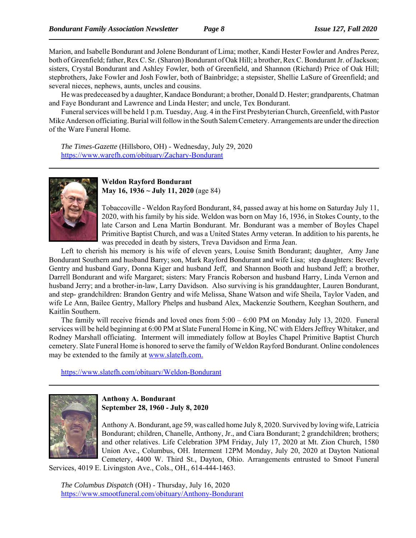Marion, and Isabelle Bondurant and Jolene Bondurant of Lima; mother, Kandi Hester Fowler and Andres Perez, both of Greenfield; father, Rex C. Sr. (Sharon) Bondurant of Oak Hill; a brother, Rex C. Bondurant Jr. of Jackson; sisters, Crystal Bondurant and Ashley Fowler, both of Greenfield, and Shannon (Richard) Price of Oak Hill; stepbrothers, Jake Fowler and Josh Fowler, both of Bainbridge; a stepsister, Shellie LaSure of Greenfield; and several nieces, nephews, aunts, uncles and cousins.

He was predeceased by a daughter, Kandace Bondurant; a brother, Donald D. Hester; grandparents, Chatman and Faye Bondurant and Lawrence and Linda Hester; and uncle, Tex Bondurant.

Funeral services will be held 1 p.m. Tuesday, Aug. 4 in the First Presbyterian Church, Greenfield, with Pastor Mike Anderson officiating. Burial will follow in the South Salem Cemetery. Arrangements are under the direction of the Ware Funeral Home.

*The Times-Gazette* (Hillsboro, OH) - Wednesday, July 29, 2020 https://www.warefh.com/obituary/Zachary-Bondurant



#### **Weldon Rayford Bondurant May 16, 1936 ~ July 11, 2020** (age 84)

Tobaccoville - Weldon Rayford Bondurant, 84, passed away at his home on Saturday July 11, 2020, with his family by his side. Weldon was born on May 16, 1936, in Stokes County, to the late Carson and Lena Martin Bondurant. Mr. Bondurant was a member of Boyles Chapel Primitive Baptist Church, and was a United States Army veteran. In addition to his parents, he was preceded in death by sisters, Treva Davidson and Erma Jean.

Left to cherish his memory is his wife of eleven years, Louise Smith Bondurant; daughter, Amy Jane Bondurant Southern and husband Barry; son, Mark Rayford Bondurant and wife Lisa; step daughters: Beverly Gentry and husband Gary, Donna Kiger and husband Jeff, and Shannon Booth and husband Jeff; a brother, Darrell Bondurant and wife Margaret; sisters: Mary Francis Roberson and husband Harry, Linda Vernon and husband Jerry; and a brother-in-law, Larry Davidson. Also surviving is his granddaughter, Lauren Bondurant, and step- grandchildren: Brandon Gentry and wife Melissa, Shane Watson and wife Sheila, Taylor Vaden, and wife Le Ann, Bailee Gentry, Mallory Phelps and husband Alex, Mackenzie Southern, Keeghan Southern, and Kaitlin Southern.

The family will receive friends and loved ones from 5:00 – 6:00 PM on Monday July 13, 2020. Funeral services will be held beginning at 6:00 PM at Slate Funeral Home in King, NC with Elders Jeffrey Whitaker, and Rodney Marshall officiating. Interment will immediately follow at Boyles Chapel Primitive Baptist Church cemetery. Slate Funeral Home is honored to serve the family of Weldon Rayford Bondurant. Online condolences may be extended to the family at www.slatefh.com.

https://www.slatefh.com/obituary/Weldon-Bondurant



**Anthony A. Bondurant September 28, 1960 - July 8, 2020**

Anthony A. Bondurant, age 59, was called home July 8, 2020. Survived by loving wife, Latricia Bondurant; children, Chanelle, Anthony, Jr., and Ciara Bondurant; 2 grandchildren; brothers; and other relatives. Life Celebration 3PM Friday, July 17, 2020 at Mt. Zion Church, 1580 Union Ave., Columbus, OH. Interment 12PM Monday, July 20, 2020 at Dayton National Cemetery, 4400 W. Third St., Dayton, Ohio. Arrangements entrusted to Smoot Funeral

Services, 4019 E. Livingston Ave., Cols., OH., 614-444-1463.

*The Columbus Dispatch* (OH) - Thursday, July 16, 2020 https://www.smootfuneral.com/obituary/Anthony-Bondurant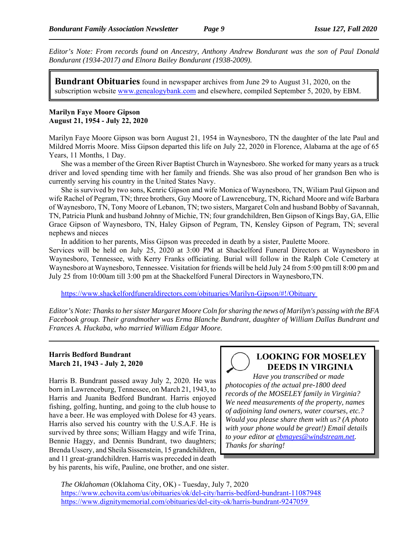*Editor's Note: From records found on Ancestry, Anthony Andrew Bondurant was the son of Paul Donald Bondurant (1934-2017) and Elnora Bailey Bondurant (1938-2009).*

**Bundrant Obituaries** found in newspaper archives from June 29 to August 31, 2020, on the subscription website www.genealogybank.com and elsewhere, compiled September 5, 2020, by EBM.

#### **Marilyn Faye Moore Gipson August 21, 1954 - July 22, 2020**

Marilyn Faye Moore Gipson was born August 21, 1954 in Waynesboro, TN the daughter of the late Paul and Mildred Morris Moore. Miss Gipson departed this life on July 22, 2020 in Florence, Alabama at the age of 65 Years, 11 Months, 1 Day.

She was a member of the Green River Baptist Church in Waynesboro. She worked for many years as a truck driver and loved spending time with her family and friends. She was also proud of her grandson Ben who is currently serving his country in the United States Navy.

She is survived by two sons, Kenric Gipson and wife Monica of Waynesboro, TN, Wiliam Paul Gipson and wife Rachel of Pegram, TN; three brothers, Guy Moore of Lawrenceburg, TN, Richard Moore and wife Barbara of Waynesboro, TN, Tony Moore of Lebanon, TN; two sisters, Margaret Coln and husband Bobby of Savannah, TN, Patricia Plunk and husband Johnny of Michie, TN; four grandchildren, Ben Gipson of Kings Bay, GA, Ellie Grace Gipson of Waynesboro, TN, Haley Gipson of Pegram, TN, Kensley Gipson of Pegram, TN; several nephews and nieces

In addition to her parents, Miss Gipson was preceded in death by a sister, Paulette Moore. Services will be held on July 25, 2020 at 3:00 PM at Shackelford Funeral Directors at Waynesboro in Waynesboro, Tennessee, with Kerry Franks officiating. Burial will follow in the Ralph Cole Cemetery at Waynesboro at Waynesboro, Tennessee. Visitation for friends will be held July 24 from 5:00 pm till 8:00 pm and July 25 from 10:00am till 3:00 pm at the Shackelford Funeral Directors in Waynesboro,TN.

https://www.shackelfordfuneraldirectors.com/obituaries/Marilyn-Gipson/#!/Obituary

*Editor's Note: Thanks to her sister Margaret Moore Coln for sharing the news of Marilyn's passing with the BFA Facebook group. Their grandmother was Erma Blanche Bundrant, daughter of William Dallas Bundrant and Frances A. Huckaba, who married William Edgar Moore.* 

#### **Harris Bedford Bundrant March 21, 1943 - July 2, 2020**

Harris B. Bundrant passed away July 2, 2020. He was born in Lawrenceburg, Tennessee, on March 21, 1943, to Harris and Juanita Bedford Bundrant. Harris enjoyed fishing, golfing, hunting, and going to the club house to have a beer. He was employed with Dolese for 43 years. Harris also served his country with the U.S.A.F. He is survived by three sons; William Haggy and wife Trina, Bennie Haggy, and Dennis Bundrant, two daughters; Brenda Ussery, and Sheila Sissenstein, 15 grandchildren, and 11 great-grandchildren. Harris was preceded in death by his parents, his wife, Pauline, one brother, and one sister.

# **LOOKING FOR MOSELEY DEEDS IN VIRGINIA**

*Have you transcribed or made photocopies of the actual pre-1800 deed records of the MOSELEY family in Virginia? We need measurements of the property, names of adjoining land owners, water courses, etc.? Would you please share them with us? (A photo with your phone would be great!) Email details to your editor at ebmayes@windstream.net. Thanks for sharing!*

*The Oklahoman* (Oklahoma City, OK) - Tuesday, July 7, 2020 https://www.echovita.com/us/obituaries/ok/del-city/harris-bedford-bundrant-11087948 https://www.dignitymemorial.com/obituaries/del-city-ok/harris-bundrant-9247059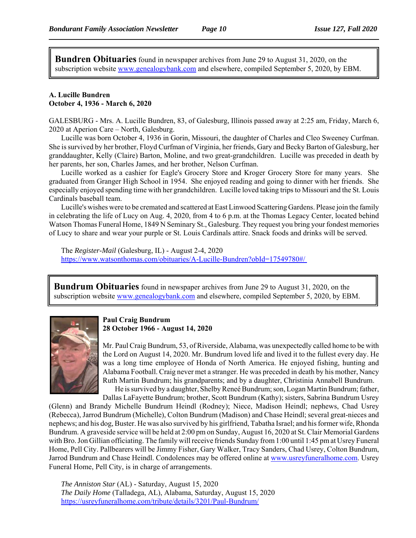**Bundren Obituaries** found in newspaper archives from June 29 to August 31, 2020, on the subscription website www.genealogybank.com and elsewhere, compiled September 5, 2020, by EBM.

#### **A. Lucille Bundren October 4, 1936 - March 6, 2020**

GALESBURG - Mrs. A. Lucille Bundren, 83, of Galesburg, Illinois passed away at 2:25 am, Friday, March 6, 2020 at Aperion Care – North, Galesburg.

Lucille was born October 4, 1936 in Gorin, Missouri, the daughter of Charles and Cleo Sweeney Curfman. She is survived by her brother, Floyd Curfman of Virginia, her friends, Gary and Becky Barton of Galesburg, her granddaughter, Kelly (Claire) Barton, Moline, and two great-grandchildren. Lucille was preceded in death by her parents, her son, Charles James, and her brother, Nelson Curfman.

Lucille worked as a cashier for Eagle's Grocery Store and Kroger Grocery Store for many years. She graduated from Granger High School in 1954. She enjoyed reading and going to dinner with her friends. She especially enjoyed spending time with her grandchildren. Lucille loved taking trips to Missouri and the St. Louis Cardinals baseball team.

Lucille's wishes were to be cremated and scattered at East Linwood Scattering Gardens. Please join the family in celebrating the life of Lucy on Aug. 4, 2020, from 4 to 6 p.m. at the Thomas Legacy Center, located behind Watson Thomas Funeral Home, 1849 N Seminary St., Galesburg. They request you bring your fondest memories of Lucy to share and wear your purple or St. Louis Cardinals attire. Snack foods and drinks will be served.

The *Register-Mail* (Galesburg, IL) - August 2-4, 2020 https://www.watsonthomas.com/obituaries/A-Lucille-Bundren?obId=17549780#/

**Bundrum Obituaries** found in newspaper archives from June 29 to August 31, 2020, on the subscription website www.genealogybank.com and elsewhere, compiled September 5, 2020, by EBM.



#### **Paul Craig Bundrum 28 October 1966 - August 14, 2020**

Mr. Paul Craig Bundrum, 53, of Riverside, Alabama, was unexpectedly called home to be with the Lord on August 14, 2020. Mr. Bundrum loved life and lived it to the fullest every day. He was a long time employee of Honda of North America. He enjoyed fishing, hunting and Alabama Football. Craig never met a stranger. He was preceded in death by his mother, Nancy Ruth Martin Bundrum; his grandparents; and by a daughter, Christinia Annabell Bundrum. He is survived by a daughter, Shelby Reneé Bundrum; son, Logan Martin Bundrum; father,

Dallas LaFayette Bundrum; brother, Scott Bundrum (Kathy); sisters, Sabrina Bundrum Usrey

(Glenn) and Brandy Michelle Bundrum Heindl (Rodney); Niece, Madison Heindl; nephews, Chad Usrey (Rebecca), Jarrod Bundrum (Michelle), Colton Bundrum (Madison) and Chase Heindl; several great-nieces and nephews; and his dog, Buster. He was also survived by his girlfriend, Tabatha Israel; and his former wife, Rhonda Bundrum. A graveside service will be held at 2:00 pm on Sunday, August 16, 2020 at St. Clair Memorial Gardens with Bro. Jon Gillian officiating. The family will receive friends Sunday from 1:00 until 1:45 pm at Usrey Funeral Home, Pell City. Pallbearers will be Jimmy Fisher, Gary Walker, Tracy Sanders, Chad Usrey, Colton Bundrum, Jarrod Bundrum and Chase Heindl. Condolences may be offered online at www.usreyfuneralhome.com. Usrey Funeral Home, Pell City, is in charge of arrangements.

*The Anniston Star* (AL) - Saturday, August 15, 2020 *The Daily Home* (Talladega, AL), Alabama, Saturday, August 15, 2020 https://usreyfuneralhome.com/tribute/details/3201/Paul-Bundrum/